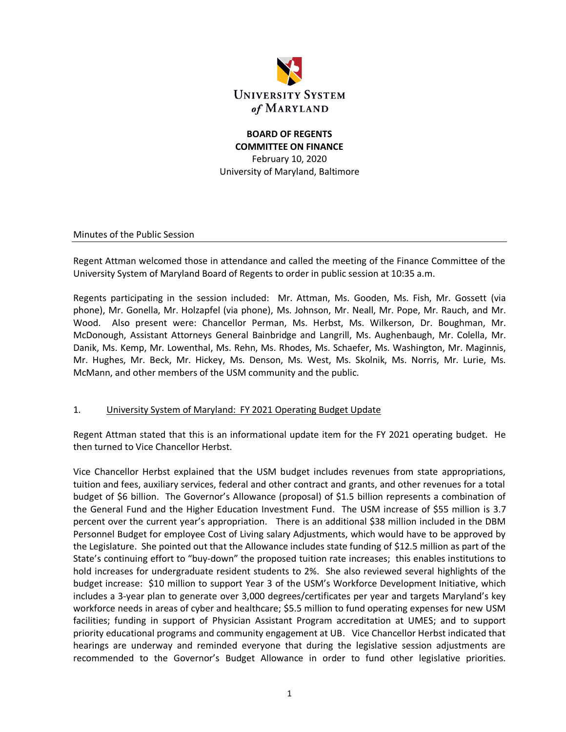

# **BOARD OF REGENTS COMMITTEE ON FINANCE** February 10, 2020 University of Maryland, Baltimore

Minutes of the Public Session

Regent Attman welcomed those in attendance and called the meeting of the Finance Committee of the University System of Maryland Board of Regents to order in public session at 10:35 a.m.

Regents participating in the session included: Mr. Attman, Ms. Gooden, Ms. Fish, Mr. Gossett (via phone), Mr. Gonella, Mr. Holzapfel (via phone), Ms. Johnson, Mr. Neall, Mr. Pope, Mr. Rauch, and Mr. Wood. Also present were: Chancellor Perman, Ms. Herbst, Ms. Wilkerson, Dr. Boughman, Mr. McDonough, Assistant Attorneys General Bainbridge and Langrill, Ms. Aughenbaugh, Mr. Colella, Mr. Danik, Ms. Kemp, Mr. Lowenthal, Ms. Rehn, Ms. Rhodes, Ms. Schaefer, Ms. Washington, Mr. Maginnis, Mr. Hughes, Mr. Beck, Mr. Hickey, Ms. Denson, Ms. West, Ms. Skolnik, Ms. Norris, Mr. Lurie, Ms. McMann, and other members of the USM community and the public.

#### 1. University System of Maryland: FY 2021 Operating Budget Update

Regent Attman stated that this is an informational update item for the FY 2021 operating budget. He then turned to Vice Chancellor Herbst.

Vice Chancellor Herbst explained that the USM budget includes revenues from state appropriations, tuition and fees, auxiliary services, federal and other contract and grants, and other revenues for a total budget of \$6 billion. The Governor's Allowance (proposal) of \$1.5 billion represents a combination of the General Fund and the Higher Education Investment Fund. The USM increase of \$55 million is 3.7 percent over the current year's appropriation. There is an additional \$38 million included in the DBM Personnel Budget for employee Cost of Living salary Adjustments, which would have to be approved by the Legislature. She pointed out that the Allowance includes state funding of \$12.5 million as part of the State's continuing effort to "buy-down" the proposed tuition rate increases; this enables institutions to hold increases for undergraduate resident students to 2%. She also reviewed several highlights of the budget increase: \$10 million to support Year 3 of the USM's Workforce Development Initiative, which includes a 3-year plan to generate over 3,000 degrees/certificates per year and targets Maryland's key workforce needs in areas of cyber and healthcare; \$5.5 million to fund operating expenses for new USM facilities; funding in support of Physician Assistant Program accreditation at UMES; and to support priority educational programs and community engagement at UB. Vice Chancellor Herbst indicated that hearings are underway and reminded everyone that during the legislative session adjustments are recommended to the Governor's Budget Allowance in order to fund other legislative priorities.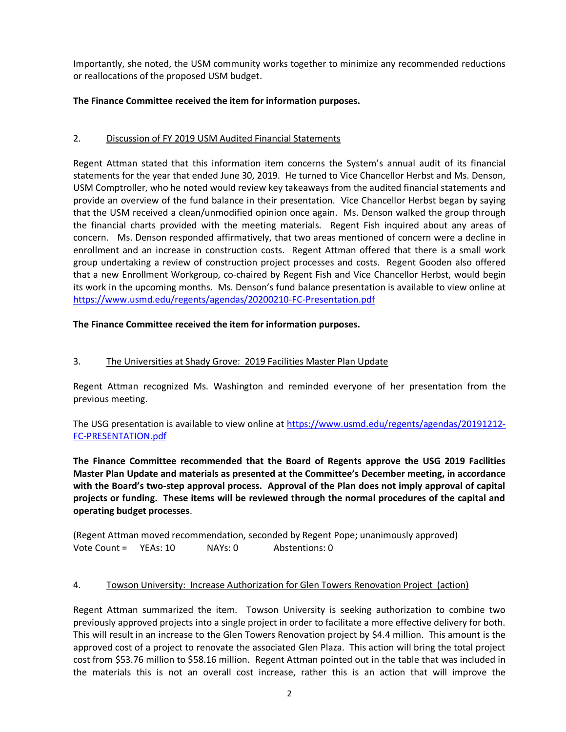Importantly, she noted, the USM community works together to minimize any recommended reductions or reallocations of the proposed USM budget.

# **The Finance Committee received the item for information purposes.**

# 2. Discussion of FY 2019 USM Audited Financial Statements

Regent Attman stated that this information item concerns the System's annual audit of its financial statements for the year that ended June 30, 2019. He turned to Vice Chancellor Herbst and Ms. Denson, USM Comptroller, who he noted would review key takeaways from the audited financial statements and provide an overview of the fund balance in their presentation. Vice Chancellor Herbst began by saying that the USM received a clean/unmodified opinion once again. Ms. Denson walked the group through the financial charts provided with the meeting materials. Regent Fish inquired about any areas of concern. Ms. Denson responded affirmatively, that two areas mentioned of concern were a decline in enrollment and an increase in construction costs. Regent Attman offered that there is a small work group undertaking a review of construction project processes and costs. Regent Gooden also offered that a new Enrollment Workgroup, co-chaired by Regent Fish and Vice Chancellor Herbst, would begin its work in the upcoming months. Ms. Denson's fund balance presentation is available to view online at <https://www.usmd.edu/regents/agendas/20200210-FC-Presentation.pdf>

### **The Finance Committee received the item for information purposes.**

### 3. The Universities at Shady Grove: 2019 Facilities Master Plan Update

Regent Attman recognized Ms. Washington and reminded everyone of her presentation from the previous meeting.

The USG presentation is available to view online at [https://www.usmd.edu/regents/agendas/20191212-](https://www.usmd.edu/regents/agendas/20191212-FC-PRESENTATION.pdf) [FC-PRESENTATION.pdf](https://www.usmd.edu/regents/agendas/20191212-FC-PRESENTATION.pdf)

**The Finance Committee recommended that the Board of Regents approve the USG 2019 Facilities Master Plan Update and materials as presented at the Committee's December meeting, in accordance with the Board's two-step approval process. Approval of the Plan does not imply approval of capital projects or funding. These items will be reviewed through the normal procedures of the capital and operating budget processes**.

(Regent Attman moved recommendation, seconded by Regent Pope; unanimously approved) Vote Count = YEAs: 10 NAYs: 0 Abstentions: 0

#### 4. Towson University: Increase Authorization for Glen Towers Renovation Project (action)

Regent Attman summarized the item. Towson University is seeking authorization to combine two previously approved projects into a single project in order to facilitate a more effective delivery for both. This will result in an increase to the Glen Towers Renovation project by \$4.4 million. This amount is the approved cost of a project to renovate the associated Glen Plaza. This action will bring the total project cost from \$53.76 million to \$58.16 million. Regent Attman pointed out in the table that was included in the materials this is not an overall cost increase, rather this is an action that will improve the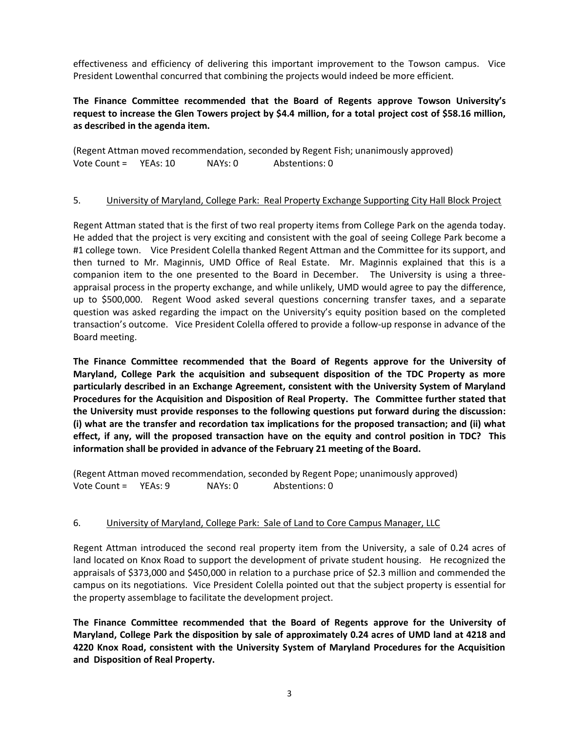effectiveness and efficiency of delivering this important improvement to the Towson campus. Vice President Lowenthal concurred that combining the projects would indeed be more efficient.

# **The Finance Committee recommended that the Board of Regents approve Towson University's request to increase the Glen Towers project by \$4.4 million, for a total project cost of \$58.16 million, as described in the agenda item.**

(Regent Attman moved recommendation, seconded by Regent Fish; unanimously approved) Vote Count = YEAs: 10 NAYs: 0 Abstentions: 0

### 5. University of Maryland, College Park: Real Property Exchange Supporting City Hall Block Project

Regent Attman stated that is the first of two real property items from College Park on the agenda today. He added that the project is very exciting and consistent with the goal of seeing College Park become a #1 college town. Vice President Colella thanked Regent Attman and the Committee for its support, and then turned to Mr. Maginnis, UMD Office of Real Estate. Mr. Maginnis explained that this is a companion item to the one presented to the Board in December. The University is using a threeappraisal process in the property exchange, and while unlikely, UMD would agree to pay the difference, up to \$500,000. Regent Wood asked several questions concerning transfer taxes, and a separate question was asked regarding the impact on the University's equity position based on the completed transaction's outcome. Vice President Colella offered to provide a follow-up response in advance of the Board meeting.

**The Finance Committee recommended that the Board of Regents approve for the University of Maryland, College Park the acquisition and subsequent disposition of the TDC Property as more particularly described in an Exchange Agreement, consistent with the University System of Maryland Procedures for the Acquisition and Disposition of Real Property. The Committee further stated that the University must provide responses to the following questions put forward during the discussion: (i) what are the transfer and recordation tax implications for the proposed transaction; and (ii) what effect, if any, will the proposed transaction have on the equity and control position in TDC? This information shall be provided in advance of the February 21 meeting of the Board.**

(Regent Attman moved recommendation, seconded by Regent Pope; unanimously approved) Vote Count = YEAs: 9 NAYs: 0 Abstentions: 0

#### 6. University of Maryland, College Park: Sale of Land to Core Campus Manager, LLC

Regent Attman introduced the second real property item from the University, a sale of 0.24 acres of land located on Knox Road to support the development of private student housing. He recognized the appraisals of \$373,000 and \$450,000 in relation to a purchase price of \$2.3 million and commended the campus on its negotiations. Vice President Colella pointed out that the subject property is essential for the property assemblage to facilitate the development project.

**The Finance Committee recommended that the Board of Regents approve for the University of Maryland, College Park the disposition by sale of approximately 0.24 acres of UMD land at 4218 and 4220 Knox Road, consistent with the University System of Maryland Procedures for the Acquisition and Disposition of Real Property.**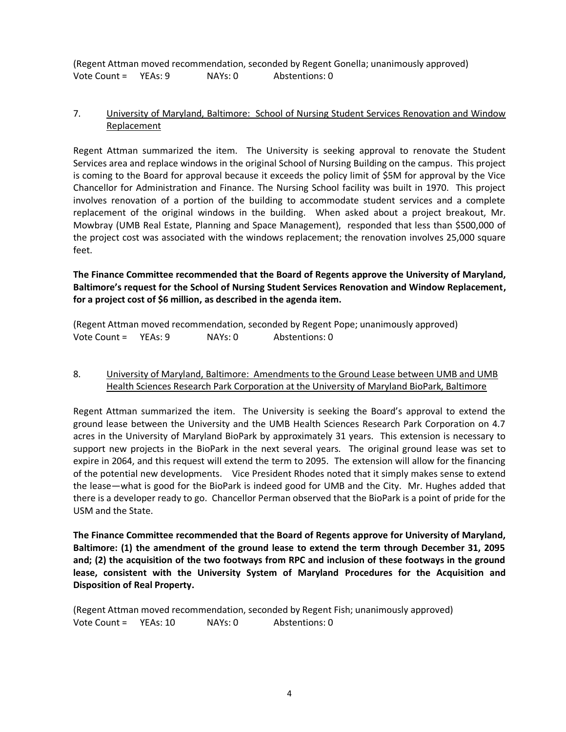(Regent Attman moved recommendation, seconded by Regent Gonella; unanimously approved) Vote Count = YEAs: 9 NAYs: 0 Abstentions: 0

### 7. University of Maryland, Baltimore: School of Nursing Student Services Renovation and Window Replacement

Regent Attman summarized the item. The University is seeking approval to renovate the Student Services area and replace windows in the original School of Nursing Building on the campus. This project is coming to the Board for approval because it exceeds the policy limit of \$5M for approval by the Vice Chancellor for Administration and Finance. The Nursing School facility was built in 1970. This project involves renovation of a portion of the building to accommodate student services and a complete replacement of the original windows in the building. When asked about a project breakout, Mr. Mowbray (UMB Real Estate, Planning and Space Management), responded that less than \$500,000 of the project cost was associated with the windows replacement; the renovation involves 25,000 square feet.

**The Finance Committee recommended that the Board of Regents approve the University of Maryland, Baltimore's request for the School of Nursing Student Services Renovation and Window Replacement, for a project cost of \$6 million, as described in the agenda item.**

|              |         |         | (Regent Attman moved recommendation, seconded by Regent Pope; unanimously approved) |
|--------------|---------|---------|-------------------------------------------------------------------------------------|
| Vote Count = | YFAs: 9 | NAYs: 0 | Abstentions: 0                                                                      |

## 8. University of Maryland, Baltimore: Amendments to the Ground Lease between UMB and UMB Health Sciences Research Park Corporation at the University of Maryland BioPark, Baltimore

Regent Attman summarized the item. The University is seeking the Board's approval to extend the ground lease between the University and the UMB Health Sciences Research Park Corporation on 4.7 acres in the University of Maryland BioPark by approximately 31 years. This extension is necessary to support new projects in the BioPark in the next several years. The original ground lease was set to expire in 2064, and this request will extend the term to 2095. The extension will allow for the financing of the potential new developments. Vice President Rhodes noted that it simply makes sense to extend the lease—what is good for the BioPark is indeed good for UMB and the City. Mr. Hughes added that there is a developer ready to go. Chancellor Perman observed that the BioPark is a point of pride for the USM and the State.

**The Finance Committee recommended that the Board of Regents approve for University of Maryland, Baltimore: (1) the amendment of the ground lease to extend the term through December 31, 2095 and; (2) the acquisition of the two footways from RPC and inclusion of these footways in the ground lease, consistent with the University System of Maryland Procedures for the Acquisition and Disposition of Real Property.**

(Regent Attman moved recommendation, seconded by Regent Fish; unanimously approved) Vote Count = YEAs: 10 NAYs: 0 Abstentions: 0